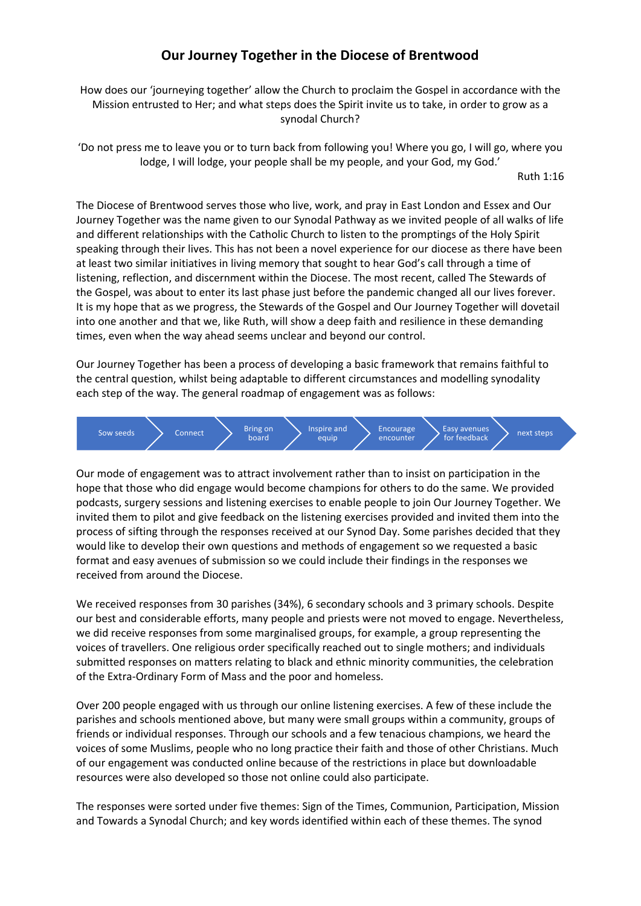# **Our Journey Together in the Diocese of Brentwood**

How does our 'journeying together' allow the Church to proclaim the Gospel in accordance with the Mission entrusted to Her; and what steps does the Spirit invite us to take, in order to grow as a synodal Church?

'Do not press me to leave you or to turn back from following you! Where you go, I will go, where you lodge, I will lodge, your people shall be my people, and your God, my God.'

Ruth 1:16

The Diocese of Brentwood serves those who live, work, and pray in East London and Essex and Our Journey Together was the name given to our Synodal Pathway as we invited people of all walks of life and different relationships with the Catholic Church to listen to the promptings of the Holy Spirit speaking through their lives. This has not been a novel experience for our diocese as there have been at least two similar initiatives in living memory that sought to hear God's call through a time of listening, reflection, and discernment within the Diocese. The most recent, called The Stewards of the Gospel, was about to enter its last phase just before the pandemic changed all our lives forever. It is my hope that as we progress, the Stewards of the Gospel and Our Journey Together will dovetail into one another and that we, like Ruth, will show a deep faith and resilience in these demanding times, even when the way ahead seems unclear and beyond our control.

Our Journey Together has been a process of developing a basic framework that remains faithful to the central question, whilst being adaptable to different circumstances and modelling synodality each step of the way. The general roadmap of engagement was as follows:



Our mode of engagement was to attract involvement rather than to insist on participation in the hope that those who did engage would become champions for others to do the same. We provided podcasts, surgery sessions and listening exercises to enable people to join Our Journey Together. We invited them to pilot and give feedback on the listening exercises provided and invited them into the process of sifting through the responses received at our Synod Day. Some parishes decided that they would like to develop their own questions and methods of engagement so we requested a basic format and easy avenues of submission so we could include their findings in the responses we received from around the Diocese.

We received responses from 30 parishes (34%), 6 secondary schools and 3 primary schools. Despite our best and considerable efforts, many people and priests were not moved to engage. Nevertheless, we did receive responses from some marginalised groups, for example, a group representing the voices of travellers. One religious order specifically reached out to single mothers; and individuals submitted responses on matters relating to black and ethnic minority communities, the celebration of the Extra-Ordinary Form of Mass and the poor and homeless.

Over 200 people engaged with us through our online listening exercises. A few of these include the parishes and schools mentioned above, but many were small groups within a community, groups of friends or individual responses. Through our schools and a few tenacious champions, we heard the voices of some Muslims, people who no long practice their faith and those of other Christians. Much of our engagement was conducted online because of the restrictions in place but downloadable resources were also developed so those not online could also participate.

The responses were sorted under five themes: Sign of the Times, Communion, Participation, Mission and Towards a Synodal Church; and key words identified within each of these themes. The synod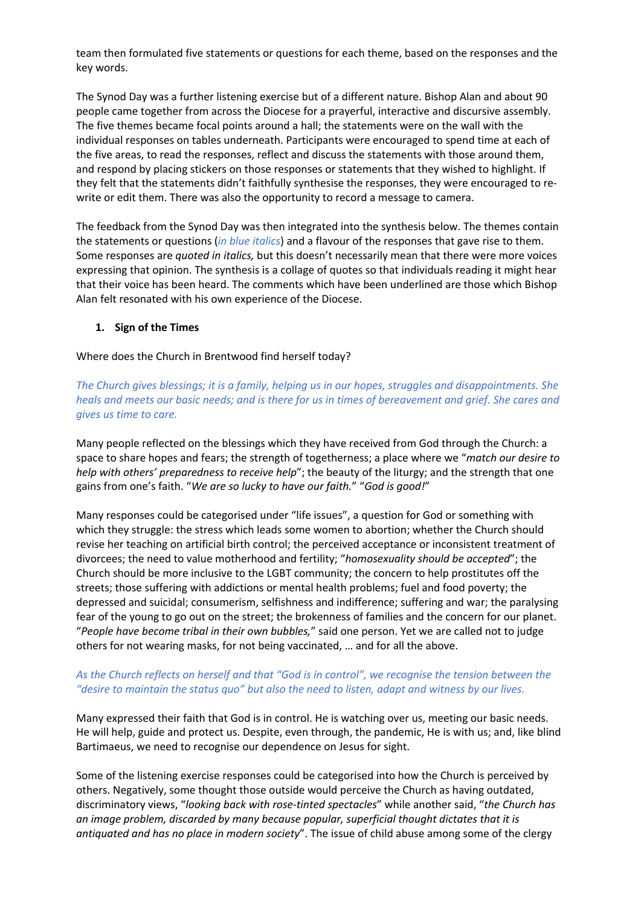team then formulated five statements or questions for each theme, based on the responses and the key words.

The Synod Day was a further listening exercise but of a different nature. Bishop Alan and about 90 people came together from across the Diocese for a prayerful, interactive and discursive assembly. The five themes became focal points around a hall; the statements were on the wall with the individual responses on tables underneath. Participants were encouraged to spend time at each of the five areas, to read the responses, reflect and discuss the statements with those around them, and respond by placing stickers on those responses or statements that they wished to highlight. If they felt that the statements didn't faithfully synthesise the responses, they were encouraged to rewrite or edit them. There was also the opportunity to record a message to camera.

The feedback from the Synod Day was then integrated into the synthesis below. The themes contain the statements or questions (*in blue italics*) and a flavour of the responses that gave rise to them. Some responses are *quoted in italics,* but this doesn't necessarily mean that there were more voices expressing that opinion. The synthesis is a collage of quotes so that individuals reading it might hear that their voice has been heard. The comments which have been underlined are those which Bishop Alan felt resonated with his own experience of the Diocese.

# **1. Sign of the Times**

Where does the Church in Brentwood find herself today?

*The Church gives blessings; it is a family, helping us in our hopes, struggles and disappointments. She heals and meets our basic needs; and is there for us in times of bereavement and grief. She cares and gives us time to care.* 

Many people reflected on the blessings which they have received from God through the Church: a space to share hopes and fears; the strength of togetherness; a place where we "*match our desire to help with others' preparedness to receive help*"; the beauty of the liturgy; and the strength that one gains from one's faith. "*We are so lucky to have our faith.*" "*God is good!*"

Many responses could be categorised under "life issues", a question for God or something with which they struggle: the stress which leads some women to abortion; whether the Church should revise her teaching on artificial birth control; the perceived acceptance or inconsistent treatment of divorcees; the need to value motherhood and fertility; "*homosexuality should be accepted*"; the Church should be more inclusive to the LGBT community; the concern to help prostitutes off the streets; those suffering with addictions or mental health problems; fuel and food poverty; the depressed and suicidal; consumerism, selfishness and indifference; suffering and war; the paralysing fear of the young to go out on the street; the brokenness of families and the concern for our planet. "*People have become tribal in their own bubbles,*" said one person. Yet we are called not to judge others for not wearing masks, for not being vaccinated, … and for all the above.

# *As the Church reflects on herself and that "God is in control", we recognise the tension between the "desire to maintain the status quo" but also the need to listen, adapt and witness by our lives.*

Many expressed their faith that God is in control. He is watching over us, meeting our basic needs. He will help, guide and protect us. Despite, even through, the pandemic, He is with us; and, like blind Bartimaeus, we need to recognise our dependence on Jesus for sight.

Some of the listening exercise responses could be categorised into how the Church is perceived by others. Negatively, some thought those outside would perceive the Church as having outdated, discriminatory views, "*looking back with rose-tinted spectacles*" while another said, "*the Church has an image problem, discarded by many because popular, superficial thought dictates that it is antiquated and has no place in modern society*". The issue of child abuse among some of the clergy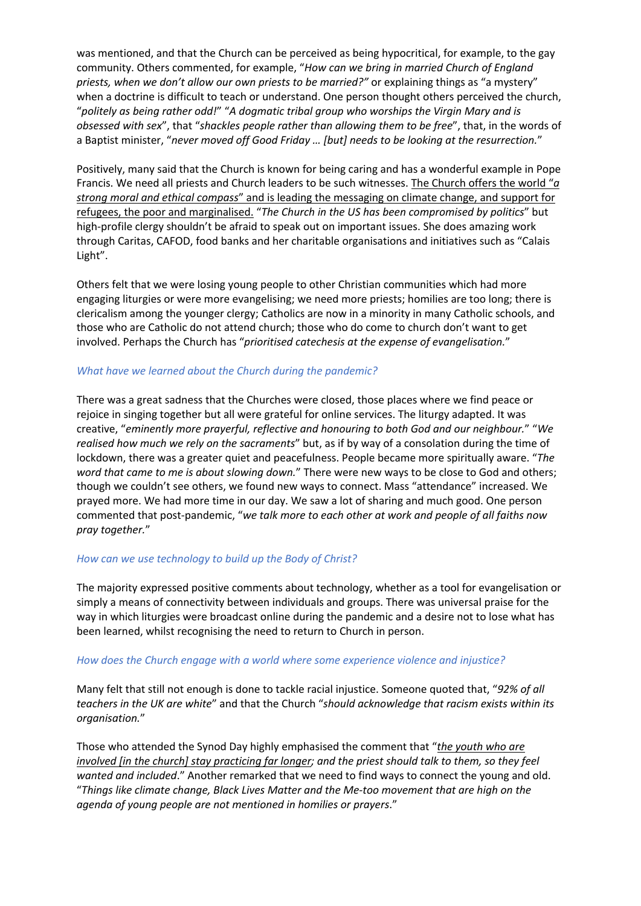was mentioned, and that the Church can be perceived as being hypocritical, for example, to the gay community. Others commented, for example, "*How can we bring in married Church of England priests, when we don't allow our own priests to be married?"* or explaining things as "a mystery" when a doctrine is difficult to teach or understand. One person thought others perceived the church, "*politely as being rather odd!*" "*A dogmatic tribal group who worships the Virgin Mary and is obsessed with sex*", that "*shackles people rather than allowing them to be free*", that, in the words of a Baptist minister, "*never moved off Good Friday … [but] needs to be looking at the resurrection.*"

Positively, many said that the Church is known for being caring and has a wonderful example in Pope Francis. We need all priests and Church leaders to be such witnesses. The Church offers the world "*a strong moral and ethical compass*" and is leading the messaging on climate change, and support for refugees, the poor and marginalised. "*The Church in the US has been compromised by politics*" but high-profile clergy shouldn't be afraid to speak out on important issues. She does amazing work through Caritas, CAFOD, food banks and her charitable organisations and initiatives such as "Calais Light".

Others felt that we were losing young people to other Christian communities which had more engaging liturgies or were more evangelising; we need more priests; homilies are too long; there is clericalism among the younger clergy; Catholics are now in a minority in many Catholic schools, and those who are Catholic do not attend church; those who do come to church don't want to get involved. Perhaps the Church has "*prioritised catechesis at the expense of evangelisation.*"

# *What have we learned about the Church during the pandemic?*

There was a great sadness that the Churches were closed, those places where we find peace or rejoice in singing together but all were grateful for online services. The liturgy adapted. It was creative, "*eminently more prayerful, reflective and honouring to both God and our neighbour.*" "*We realised how much we rely on the sacraments*" but, as if by way of a consolation during the time of lockdown, there was a greater quiet and peacefulness. People became more spiritually aware. "*The word that came to me is about slowing down.*" There were new ways to be close to God and others; though we couldn't see others, we found new ways to connect. Mass "attendance" increased. We prayed more. We had more time in our day. We saw a lot of sharing and much good. One person commented that post-pandemic, "*we talk more to each other at work and people of all faiths now pray together.*"

# *How can we use technology to build up the Body of Christ?*

The majority expressed positive comments about technology, whether as a tool for evangelisation or simply a means of connectivity between individuals and groups. There was universal praise for the way in which liturgies were broadcast online during the pandemic and a desire not to lose what has been learned, whilst recognising the need to return to Church in person.

# *How does the Church engage with a world where some experience violence and injustice?*

Many felt that still not enough is done to tackle racial injustice. Someone quoted that, "*92% of all teachers in the UK are white*" and that the Church "*should acknowledge that racism exists within its organisation.*"

Those who attended the Synod Day highly emphasised the comment that "*the youth who are involved [in the church] stay practicing far longer; and the priest should talk to them, so they feel wanted and included*." Another remarked that we need to find ways to connect the young and old. "*Things like climate change, Black Lives Matter and the Me-too movement that are high on the agenda of young people are not mentioned in homilies or prayers*."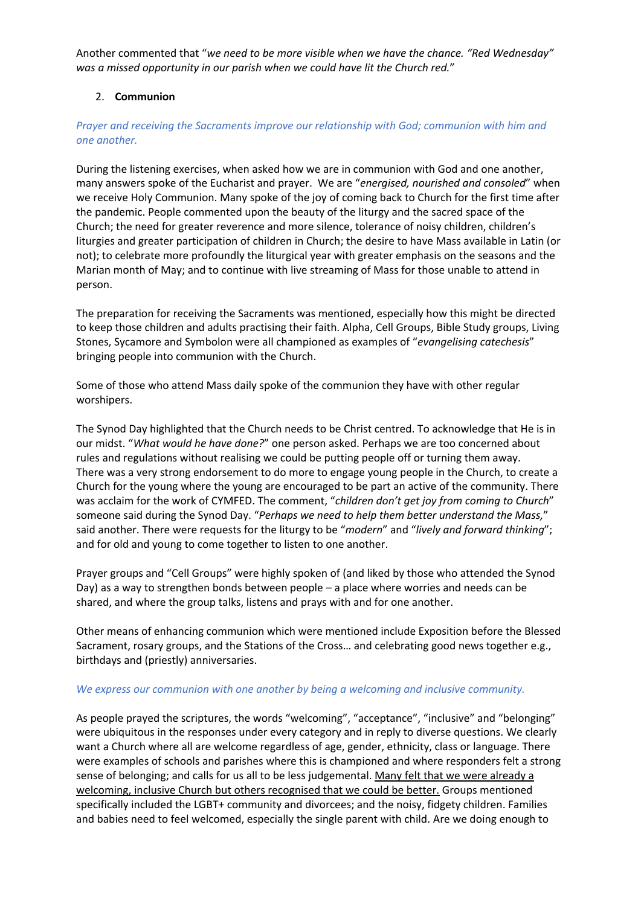Another commented that "*we need to be more visible when we have the chance. "Red Wednesday" was a missed opportunity in our parish when we could have lit the Church red.*"

# 2. **Communion**

# *Prayer and receiving the Sacraments improve our relationship with God; communion with him and one another.*

During the listening exercises, when asked how we are in communion with God and one another, many answers spoke of the Eucharist and prayer. We are "*energised, nourished and consoled*" when we receive Holy Communion. Many spoke of the joy of coming back to Church for the first time after the pandemic. People commented upon the beauty of the liturgy and the sacred space of the Church; the need for greater reverence and more silence, tolerance of noisy children, children's liturgies and greater participation of children in Church; the desire to have Mass available in Latin (or not); to celebrate more profoundly the liturgical year with greater emphasis on the seasons and the Marian month of May; and to continue with live streaming of Mass for those unable to attend in person.

The preparation for receiving the Sacraments was mentioned, especially how this might be directed to keep those children and adults practising their faith. Alpha, Cell Groups, Bible Study groups, Living Stones, Sycamore and Symbolon were all championed as examples of "*evangelising catechesis*" bringing people into communion with the Church.

Some of those who attend Mass daily spoke of the communion they have with other regular worshipers.

The Synod Day highlighted that the Church needs to be Christ centred. To acknowledge that He is in our midst. "*What would he have done?*" one person asked. Perhaps we are too concerned about rules and regulations without realising we could be putting people off or turning them away. There was a very strong endorsement to do more to engage young people in the Church, to create a Church for the young where the young are encouraged to be part an active of the community. There was acclaim for the work of CYMFED. The comment, "*children don't get joy from coming to Church*" someone said during the Synod Day. "*Perhaps we need to help them better understand the Mass,*" said another. There were requests for the liturgy to be "*modern*" and "*lively and forward thinking*"; and for old and young to come together to listen to one another.

Prayer groups and "Cell Groups" were highly spoken of (and liked by those who attended the Synod Day) as a way to strengthen bonds between people – a place where worries and needs can be shared, and where the group talks, listens and prays with and for one another.

Other means of enhancing communion which were mentioned include Exposition before the Blessed Sacrament, rosary groups, and the Stations of the Cross… and celebrating good news together e.g., birthdays and (priestly) anniversaries.

# *We express our communion with one another by being a welcoming and inclusive community.*

As people prayed the scriptures, the words "welcoming", "acceptance", "inclusive" and "belonging" were ubiquitous in the responses under every category and in reply to diverse questions. We clearly want a Church where all are welcome regardless of age, gender, ethnicity, class or language. There were examples of schools and parishes where this is championed and where responders felt a strong sense of belonging; and calls for us all to be less judgemental. Many felt that we were already a welcoming, inclusive Church but others recognised that we could be better. Groups mentioned specifically included the LGBT+ community and divorcees; and the noisy, fidgety children. Families and babies need to feel welcomed, especially the single parent with child. Are we doing enough to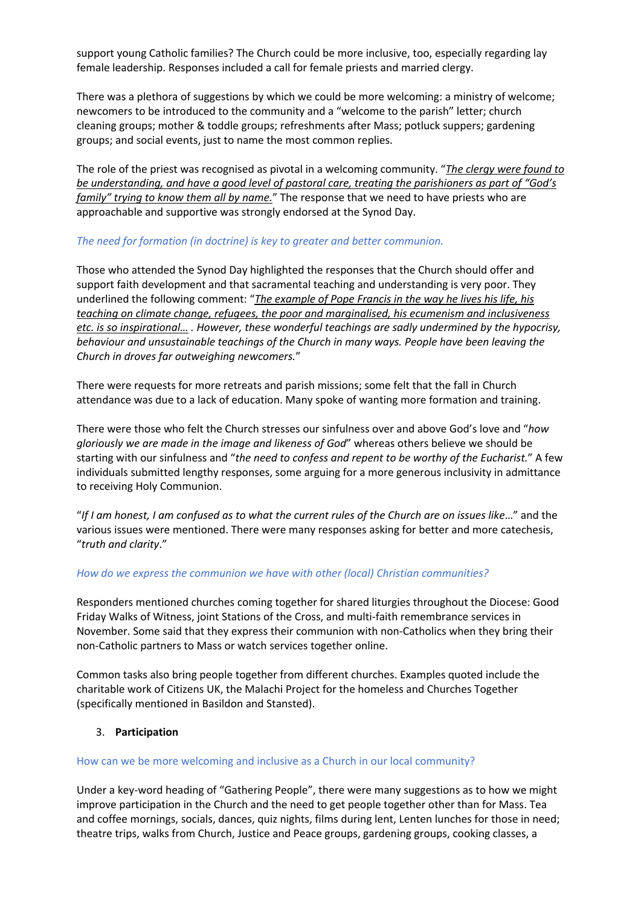support young Catholic families? The Church could be more inclusive, too, especially regarding lay female leadership. Responses included a call for female priests and married clergy.

There was a plethora of suggestions by which we could be more welcoming: a ministry of welcome; newcomers to be introduced to the community and a "welcome to the parish" letter; church cleaning groups; mother & toddle groups; refreshments after Mass; potluck suppers; gardening groups; and social events, just to name the most common replies.

The role of the priest was recognised as pivotal in a welcoming community. "*The clergy were found to be understanding, and have a good level of pastoral care, treating the parishioners as part of "God's family" trying to know them all by name.*" The response that we need to have priests who are approachable and supportive was strongly endorsed at the Synod Day.

# *The need for formation (in doctrine) is key to greater and better communion.*

Those who attended the Synod Day highlighted the responses that the Church should offer and support faith development and that sacramental teaching and understanding is very poor. They underlined the following comment: "*The example of Pope Francis in the way he lives his life, his teaching on climate change, refugees, the poor and marginalised, his ecumenism and inclusiveness etc. is so inspirational… . However, these wonderful teachings are sadly undermined by the hypocrisy, behaviour and unsustainable teachings of the Church in many ways. People have been leaving the Church in droves far outweighing newcomers.*"

There were requests for more retreats and parish missions; some felt that the fall in Church attendance was due to a lack of education. Many spoke of wanting more formation and training.

There were those who felt the Church stresses our sinfulness over and above God's love and "*how gloriously we are made in the image and likeness of God*" whereas others believe we should be starting with our sinfulness and "*the need to confess and repent to be worthy of the Eucharist.*" A few individuals submitted lengthy responses, some arguing for a more generous inclusivity in admittance to receiving Holy Communion.

"*If I am honest, I am confused as to what the current rules of the Church are on issues like*…" and the various issues were mentioned. There were many responses asking for better and more catechesis, "*truth and clarity*."

# *How do we express the communion we have with other (local) Christian communities?*

Responders mentioned churches coming together for shared liturgies throughout the Diocese: Good Friday Walks of Witness, joint Stations of the Cross, and multi-faith remembrance services in November. Some said that they express their communion with non-Catholics when they bring their non-Catholic partners to Mass or watch services together online.

Common tasks also bring people together from different churches. Examples quoted include the charitable work of Citizens UK, the Malachi Project for the homeless and Churches Together (specifically mentioned in Basildon and Stansted).

# 3. **Participation**

# How can we be more welcoming and inclusive as a Church in our local community?

Under a key-word heading of "Gathering People", there were many suggestions as to how we might improve participation in the Church and the need to get people together other than for Mass. Tea and coffee mornings, socials, dances, quiz nights, films during lent, Lenten lunches for those in need; theatre trips, walks from Church, Justice and Peace groups, gardening groups, cooking classes, a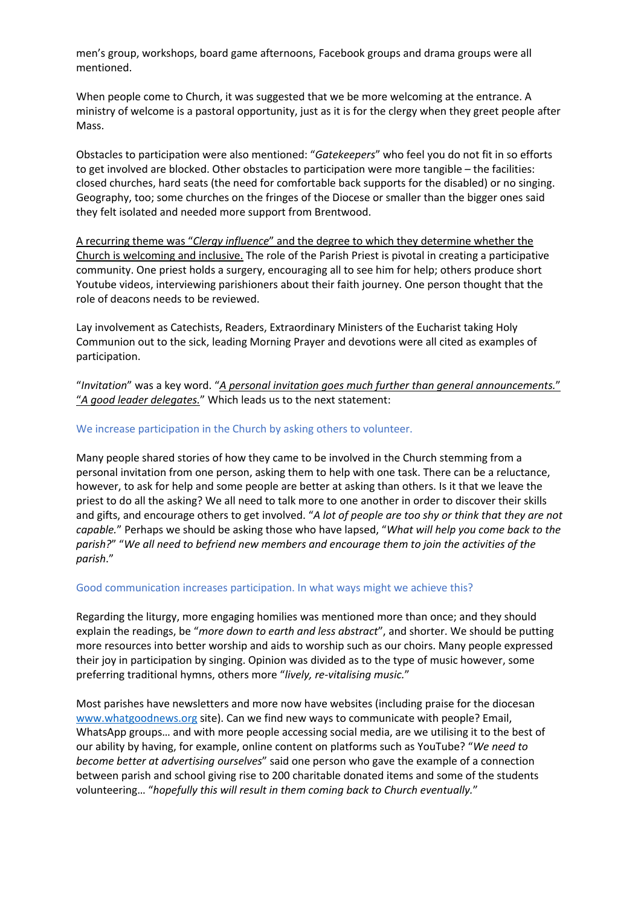men's group, workshops, board game afternoons, Facebook groups and drama groups were all mentioned.

When people come to Church, it was suggested that we be more welcoming at the entrance. A ministry of welcome is a pastoral opportunity, just as it is for the clergy when they greet people after Mass.

Obstacles to participation were also mentioned: "*Gatekeepers*" who feel you do not fit in so efforts to get involved are blocked. Other obstacles to participation were more tangible – the facilities: closed churches, hard seats (the need for comfortable back supports for the disabled) or no singing. Geography, too; some churches on the fringes of the Diocese or smaller than the bigger ones said they felt isolated and needed more support from Brentwood.

A recurring theme was "*Clergy influence*" and the degree to which they determine whether the Church is welcoming and inclusive. The role of the Parish Priest is pivotal in creating a participative community. One priest holds a surgery, encouraging all to see him for help; others produce short Youtube videos, interviewing parishioners about their faith journey. One person thought that the role of deacons needs to be reviewed.

Lay involvement as Catechists, Readers, Extraordinary Ministers of the Eucharist taking Holy Communion out to the sick, leading Morning Prayer and devotions were all cited as examples of participation.

"*Invitation*" was a key word. "*A personal invitation goes much further than general announcements.*" "*A good leader delegates.*" Which leads us to the next statement:

# We increase participation in the Church by asking others to volunteer.

Many people shared stories of how they came to be involved in the Church stemming from a personal invitation from one person, asking them to help with one task. There can be a reluctance, however, to ask for help and some people are better at asking than others. Is it that we leave the priest to do all the asking? We all need to talk more to one another in order to discover their skills and gifts, and encourage others to get involved. "*A lot of people are too shy or think that they are not capable.*" Perhaps we should be asking those who have lapsed, "*What will help you come back to the parish?*" "*We all need to befriend new members and encourage them to join the activities of the parish*."

#### Good communication increases participation. In what ways might we achieve this?

Regarding the liturgy, more engaging homilies was mentioned more than once; and they should explain the readings, be "*more down to earth and less abstract*", and shorter. We should be putting more resources into better worship and aids to worship such as our choirs. Many people expressed their joy in participation by singing. Opinion was divided as to the type of music however, some preferring traditional hymns, others more "*lively, re-vitalising music.*"

Most parishes have newsletters and more now have websites (including praise for the diocesan www.whatgoodnews.org site). Can we find new ways to communicate with people? Email, WhatsApp groups… and with more people accessing social media, are we utilising it to the best of our ability by having, for example, online content on platforms such as YouTube? "*We need to become better at advertising ourselves*" said one person who gave the example of a connection between parish and school giving rise to 200 charitable donated items and some of the students volunteering… "*hopefully this will result in them coming back to Church eventually.*"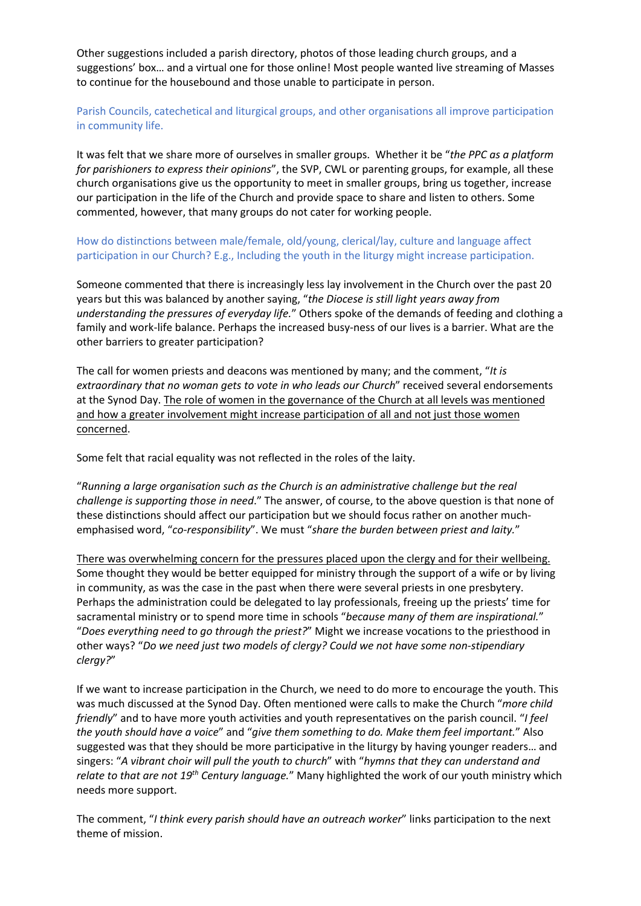Other suggestions included a parish directory, photos of those leading church groups, and a suggestions' box… and a virtual one for those online! Most people wanted live streaming of Masses to continue for the housebound and those unable to participate in person.

Parish Councils, catechetical and liturgical groups, and other organisations all improve participation in community life.

It was felt that we share more of ourselves in smaller groups. Whether it be "*the PPC as a platform for parishioners to express their opinions*", the SVP, CWL or parenting groups, for example, all these church organisations give us the opportunity to meet in smaller groups, bring us together, increase our participation in the life of the Church and provide space to share and listen to others. Some commented, however, that many groups do not cater for working people.

How do distinctions between male/female, old/young, clerical/lay, culture and language affect participation in our Church? E.g., Including the youth in the liturgy might increase participation.

Someone commented that there is increasingly less lay involvement in the Church over the past 20 years but this was balanced by another saying, "*the Diocese is still light years away from understanding the pressures of everyday life.*" Others spoke of the demands of feeding and clothing a family and work-life balance. Perhaps the increased busy-ness of our lives is a barrier. What are the other barriers to greater participation?

The call for women priests and deacons was mentioned by many; and the comment, "*It is extraordinary that no woman gets to vote in who leads our Church*" received several endorsements at the Synod Day. The role of women in the governance of the Church at all levels was mentioned and how a greater involvement might increase participation of all and not just those women concerned.

Some felt that racial equality was not reflected in the roles of the laity.

"*Running a large organisation such as the Church is an administrative challenge but the real challenge is supporting those in need*." The answer, of course, to the above question is that none of these distinctions should affect our participation but we should focus rather on another muchemphasised word, "*co-responsibility*". We must "*share the burden between priest and laity.*"

There was overwhelming concern for the pressures placed upon the clergy and for their wellbeing. Some thought they would be better equipped for ministry through the support of a wife or by living in community, as was the case in the past when there were several priests in one presbytery. Perhaps the administration could be delegated to lay professionals, freeing up the priests' time for sacramental ministry or to spend more time in schools "*because many of them are inspirational.*" "*Does everything need to go through the priest?*" Might we increase vocations to the priesthood in other ways? "*Do we need just two models of clergy? Could we not have some non-stipendiary clergy?*"

If we want to increase participation in the Church, we need to do more to encourage the youth. This was much discussed at the Synod Day. Often mentioned were calls to make the Church "*more child friendly*" and to have more youth activities and youth representatives on the parish council. "*I feel the youth should have a voice*" and "*give them something to do. Make them feel important.*" Also suggested was that they should be more participative in the liturgy by having younger readers… and singers: "*A vibrant choir will pull the youth to church*" with "*hymns that they can understand and relate to that are not 19th Century language.*" Many highlighted the work of our youth ministry which needs more support.

The comment, "*I think every parish should have an outreach worker*" links participation to the next theme of mission.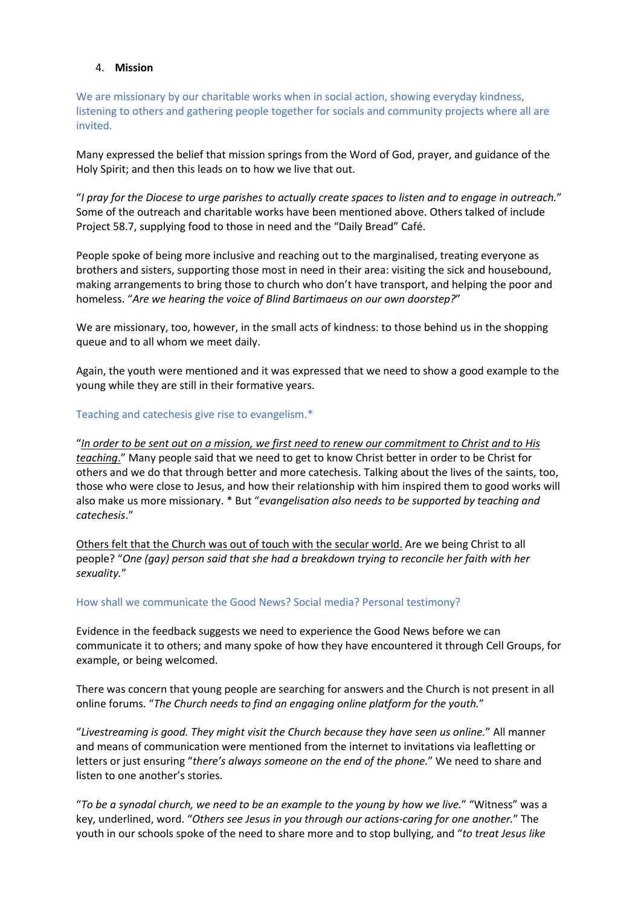# 4. **Mission**

We are missionary by our charitable works when in social action, showing everyday kindness, listening to others and gathering people together for socials and community projects where all are invited.

Many expressed the belief that mission springs from the Word of God, prayer, and guidance of the Holy Spirit; and then this leads on to how we live that out.

"*I pray for the Diocese to urge parishes to actually create spaces to listen and to engage in outreach.*" Some of the outreach and charitable works have been mentioned above. Others talked of include Project 58.7, supplying food to those in need and the "Daily Bread" Café.

People spoke of being more inclusive and reaching out to the marginalised, treating everyone as brothers and sisters, supporting those most in need in their area: visiting the sick and housebound, making arrangements to bring those to church who don't have transport, and helping the poor and homeless. "*Are we hearing the voice of Blind Bartimaeus on our own doorstep?*"

We are missionary, too, however, in the small acts of kindness: to those behind us in the shopping queue and to all whom we meet daily.

Again, the youth were mentioned and it was expressed that we need to show a good example to the young while they are still in their formative years.

# Teaching and catechesis give rise to evangelism.\*

"*In order to be sent out on a mission, we first need to renew our commitment to Christ and to His teaching*." Many people said that we need to get to know Christ better in order to be Christ for others and we do that through better and more catechesis. Talking about the lives of the saints, too, those who were close to Jesus, and how their relationship with him inspired them to good works will also make us more missionary. \* But "*evangelisation also needs to be supported by teaching and catechesis*."

Others felt that the Church was out of touch with the secular world. Are we being Christ to all people? "*One (gay) person said that she had a breakdown trying to reconcile her faith with her sexuality.*"

#### How shall we communicate the Good News? Social media? Personal testimony?

Evidence in the feedback suggests we need to experience the Good News before we can communicate it to others; and many spoke of how they have encountered it through Cell Groups, for example, or being welcomed.

There was concern that young people are searching for answers and the Church is not present in all online forums. "*The Church needs to find an engaging online platform for the youth.*"

"*Livestreaming is good. They might visit the Church because they have seen us online.*" All manner and means of communication were mentioned from the internet to invitations via leafletting or letters or just ensuring "*there's always someone on the end of the phone.*" We need to share and listen to one another's stories.

"*To be a synodal church, we need to be an example to the young by how we live.*" "Witness" was a key, underlined, word. "*Others see Jesus in you through our actions-caring for one another.*" The youth in our schools spoke of the need to share more and to stop bullying, and "*to treat Jesus like*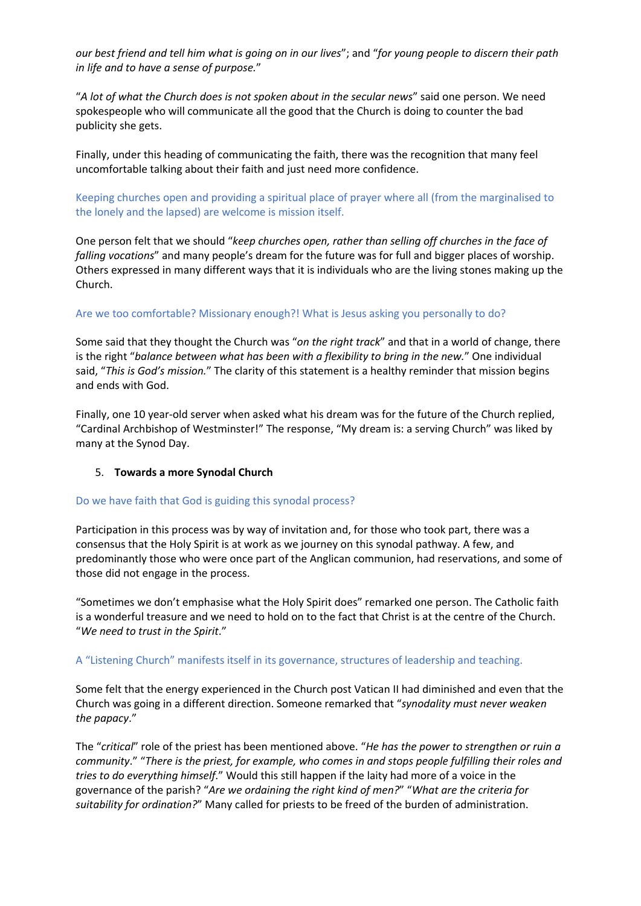*our best friend and tell him what is going on in our lives*"; and "*for young people to discern their path in life and to have a sense of purpose.*"

"*A lot of what the Church does is not spoken about in the secular news*" said one person. We need spokespeople who will communicate all the good that the Church is doing to counter the bad publicity she gets.

Finally, under this heading of communicating the faith, there was the recognition that many feel uncomfortable talking about their faith and just need more confidence.

Keeping churches open and providing a spiritual place of prayer where all (from the marginalised to the lonely and the lapsed) are welcome is mission itself.

One person felt that we should "*keep churches open, rather than selling off churches in the face of falling vocations*" and many people's dream for the future was for full and bigger places of worship. Others expressed in many different ways that it is individuals who are the living stones making up the Church.

# Are we too comfortable? Missionary enough?! What is Jesus asking you personally to do?

Some said that they thought the Church was "*on the right track*" and that in a world of change, there is the right "*balance between what has been with a flexibility to bring in the new.*" One individual said, "*This is God's mission.*" The clarity of this statement is a healthy reminder that mission begins and ends with God.

Finally, one 10 year-old server when asked what his dream was for the future of the Church replied, "Cardinal Archbishop of Westminster!" The response, "My dream is: a serving Church" was liked by many at the Synod Day.

#### 5. **Towards a more Synodal Church**

#### Do we have faith that God is guiding this synodal process?

Participation in this process was by way of invitation and, for those who took part, there was a consensus that the Holy Spirit is at work as we journey on this synodal pathway. A few, and predominantly those who were once part of the Anglican communion, had reservations, and some of those did not engage in the process.

"Sometimes we don't emphasise what the Holy Spirit does" remarked one person. The Catholic faith is a wonderful treasure and we need to hold on to the fact that Christ is at the centre of the Church. "*We need to trust in the Spirit*."

#### A "Listening Church" manifests itself in its governance, structures of leadership and teaching.

Some felt that the energy experienced in the Church post Vatican II had diminished and even that the Church was going in a different direction. Someone remarked that "*synodality must never weaken the papacy*."

The "*critical*" role of the priest has been mentioned above. "*He has the power to strengthen or ruin a community*." "*There is the priest, for example, who comes in and stops people fulfilling their roles and tries to do everything himself*." Would this still happen if the laity had more of a voice in the governance of the parish? "*Are we ordaining the right kind of men?*" "*What are the criteria for suitability for ordination?*" Many called for priests to be freed of the burden of administration.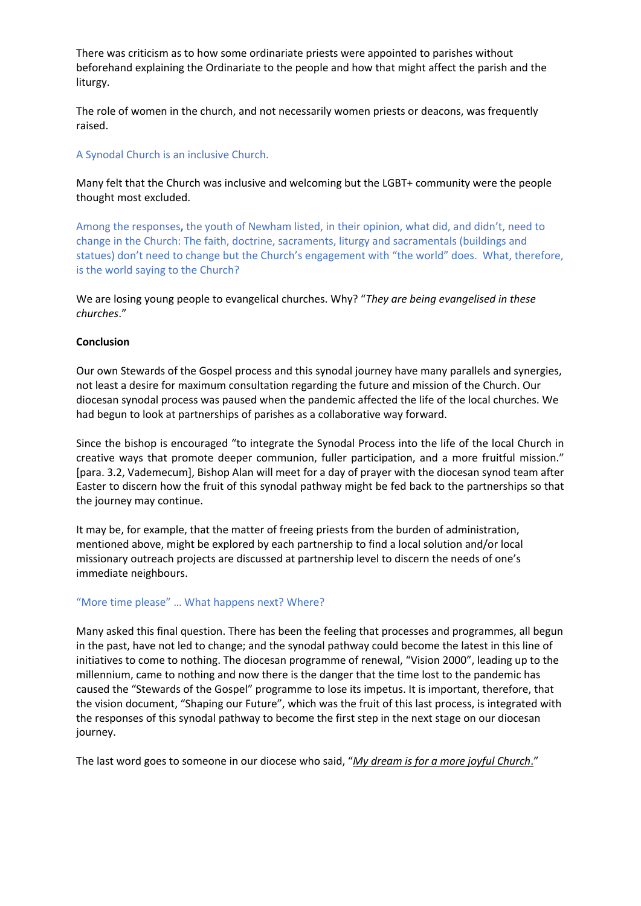There was criticism as to how some ordinariate priests were appointed to parishes without beforehand explaining the Ordinariate to the people and how that might affect the parish and the liturgy.

The role of women in the church, and not necessarily women priests or deacons, was frequently raised.

# A Synodal Church is an inclusive Church.

Many felt that the Church was inclusive and welcoming but the LGBT+ community were the people thought most excluded.

Among the responses**,** the youth of Newham listed, in their opinion, what did, and didn't, need to change in the Church: The faith, doctrine, sacraments, liturgy and sacramentals (buildings and statues) don't need to change but the Church's engagement with "the world" does. What, therefore, is the world saying to the Church?

We are losing young people to evangelical churches. Why? "*They are being evangelised in these churches*."

# **Conclusion**

Our own Stewards of the Gospel process and this synodal journey have many parallels and synergies, not least a desire for maximum consultation regarding the future and mission of the Church. Our diocesan synodal process was paused when the pandemic affected the life of the local churches. We had begun to look at partnerships of parishes as a collaborative way forward.

Since the bishop is encouraged "to integrate the Synodal Process into the life of the local Church in creative ways that promote deeper communion, fuller participation, and a more fruitful mission." [para. 3.2, Vademecum], Bishop Alan will meet for a day of prayer with the diocesan synod team after Easter to discern how the fruit of this synodal pathway might be fed back to the partnerships so that the journey may continue.

It may be, for example, that the matter of freeing priests from the burden of administration, mentioned above, might be explored by each partnership to find a local solution and/or local missionary outreach projects are discussed at partnership level to discern the needs of one's immediate neighbours.

# "More time please" … What happens next? Where?

Many asked this final question. There has been the feeling that processes and programmes, all begun in the past, have not led to change; and the synodal pathway could become the latest in this line of initiatives to come to nothing. The diocesan programme of renewal, "Vision 2000", leading up to the millennium, came to nothing and now there is the danger that the time lost to the pandemic has caused the "Stewards of the Gospel" programme to lose its impetus. It is important, therefore, that the vision document, "Shaping our Future", which was the fruit of this last process, is integrated with the responses of this synodal pathway to become the first step in the next stage on our diocesan journey.

The last word goes to someone in our diocese who said, "*My dream is for a more joyful Church*."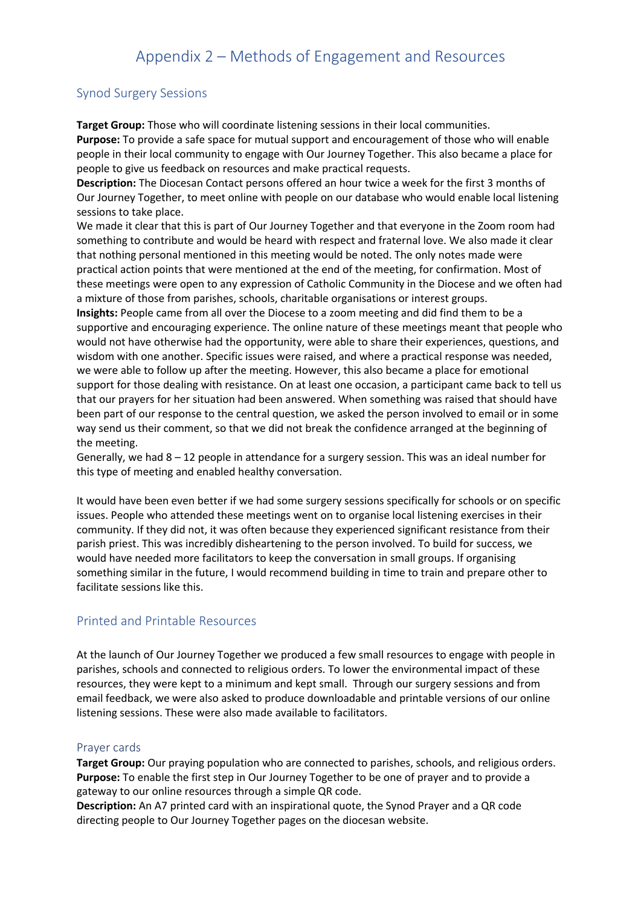# Appendix 2 – Methods of Engagement and Resources

# Synod Surgery Sessions

**Target Group:** Those who will coordinate listening sessions in their local communities.

**Purpose:** To provide a safe space for mutual support and encouragement of those who will enable people in their local community to engage with Our Journey Together. This also became a place for people to give us feedback on resources and make practical requests.

**Description:** The Diocesan Contact persons offered an hour twice a week for the first 3 months of Our Journey Together, to meet online with people on our database who would enable local listening sessions to take place.

We made it clear that this is part of Our Journey Together and that everyone in the Zoom room had something to contribute and would be heard with respect and fraternal love. We also made it clear that nothing personal mentioned in this meeting would be noted. The only notes made were practical action points that were mentioned at the end of the meeting, for confirmation. Most of these meetings were open to any expression of Catholic Community in the Diocese and we often had a mixture of those from parishes, schools, charitable organisations or interest groups.

**Insights:** People came from all over the Diocese to a zoom meeting and did find them to be a supportive and encouraging experience. The online nature of these meetings meant that people who would not have otherwise had the opportunity, were able to share their experiences, questions, and wisdom with one another. Specific issues were raised, and where a practical response was needed, we were able to follow up after the meeting. However, this also became a place for emotional support for those dealing with resistance. On at least one occasion, a participant came back to tell us that our prayers for her situation had been answered. When something was raised that should have been part of our response to the central question, we asked the person involved to email or in some way send us their comment, so that we did not break the confidence arranged at the beginning of the meeting.

Generally, we had 8 – 12 people in attendance for a surgery session. This was an ideal number for this type of meeting and enabled healthy conversation.

It would have been even better if we had some surgery sessions specifically for schools or on specific issues. People who attended these meetings went on to organise local listening exercises in their community. If they did not, it was often because they experienced significant resistance from their parish priest. This was incredibly disheartening to the person involved. To build for success, we would have needed more facilitators to keep the conversation in small groups. If organising something similar in the future, I would recommend building in time to train and prepare other to facilitate sessions like this.

# Printed and Printable Resources

At the launch of Our Journey Together we produced a few small resources to engage with people in parishes, schools and connected to religious orders. To lower the environmental impact of these resources, they were kept to a minimum and kept small. Through our surgery sessions and from email feedback, we were also asked to produce downloadable and printable versions of our online listening sessions. These were also made available to facilitators.

# Prayer cards

**Target Group:** Our praying population who are connected to parishes, schools, and religious orders. **Purpose:** To enable the first step in Our Journey Together to be one of prayer and to provide a gateway to our online resources through a simple QR code.

**Description:** An A7 printed card with an inspirational quote, the Synod Prayer and a QR code directing people to Our Journey Together pages on the diocesan website.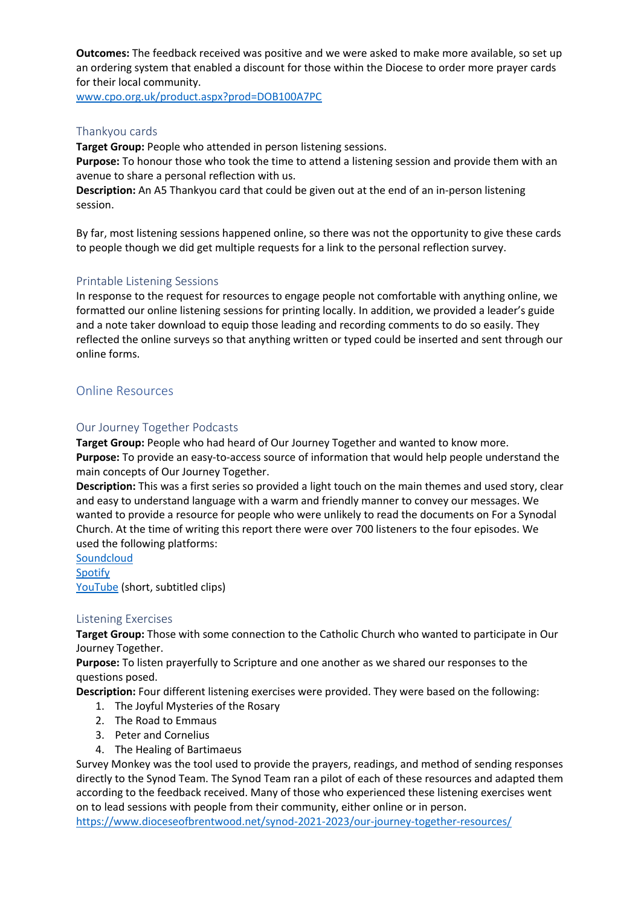**Outcomes:** The feedback received was positive and we were asked to make more available, so set up an ordering system that enabled a discount for those within the Diocese to order more prayer cards for their local community.

www.cpo.org.uk/product.aspx?prod=DOB100A7PC

# Thankyou cards

**Target Group:** People who attended in person listening sessions.

**Purpose:** To honour those who took the time to attend a listening session and provide them with an avenue to share a personal reflection with us.

**Description:** An A5 Thankyou card that could be given out at the end of an in-person listening session.

By far, most listening sessions happened online, so there was not the opportunity to give these cards to people though we did get multiple requests for a link to the personal reflection survey.

# Printable Listening Sessions

In response to the request for resources to engage people not comfortable with anything online, we formatted our online listening sessions for printing locally. In addition, we provided a leader's guide and a note taker download to equip those leading and recording comments to do so easily. They reflected the online surveys so that anything written or typed could be inserted and sent through our online forms.

# Online Resources

# Our Journey Together Podcasts

**Target Group:** People who had heard of Our Journey Together and wanted to know more. **Purpose:** To provide an easy-to-access source of information that would help people understand the main concepts of Our Journey Together.

**Description:** This was a first series so provided a light touch on the main themes and used story, clear and easy to understand language with a warm and friendly manner to convey our messages. We wanted to provide a resource for people who were unlikely to read the documents on For a Synodal Church. At the time of writing this report there were over 700 listeners to the four episodes. We used the following platforms:

**Soundcloud** Spotify YouTube (short, subtitled clips)

# Listening Exercises

**Target Group:** Those with some connection to the Catholic Church who wanted to participate in Our Journey Together.

**Purpose:** To listen prayerfully to Scripture and one another as we shared our responses to the questions posed.

**Description:** Four different listening exercises were provided. They were based on the following:

- 1. The Joyful Mysteries of the Rosary
- 2. The Road to Emmaus
- 3. Peter and Cornelius
- 4. The Healing of Bartimaeus

Survey Monkey was the tool used to provide the prayers, readings, and method of sending responses directly to the Synod Team. The Synod Team ran a pilot of each of these resources and adapted them according to the feedback received. Many of those who experienced these listening exercises went on to lead sessions with people from their community, either online or in person.

https://www.dioceseofbrentwood.net/synod-2021-2023/our-journey-together-resources/